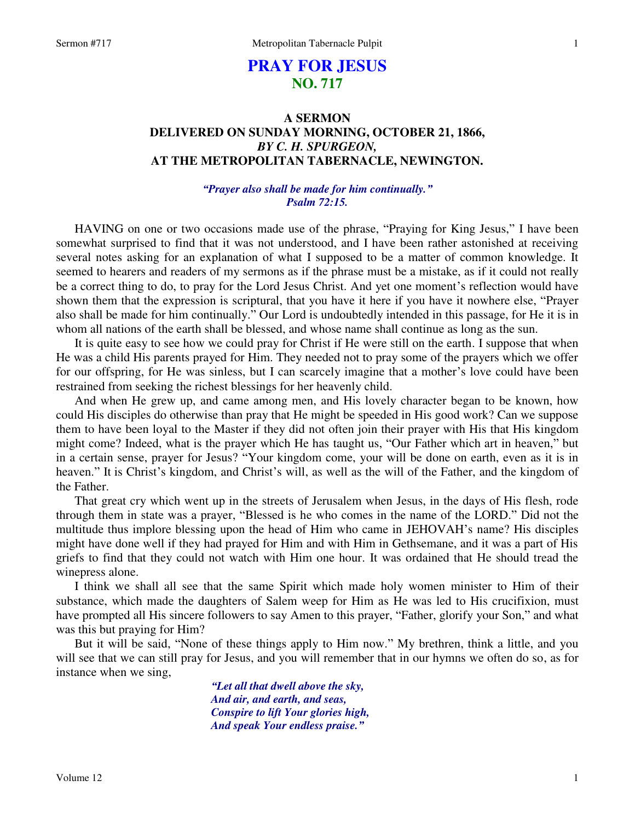# **PRAY FOR JESUS NO. 717**

# **A SERMON DELIVERED ON SUNDAY MORNING, OCTOBER 21, 1866,**  *BY C. H. SPURGEON,*  **AT THE METROPOLITAN TABERNACLE, NEWINGTON.**

## *"Prayer also shall be made for him continually." Psalm 72:15.*

HAVING on one or two occasions made use of the phrase, "Praying for King Jesus," I have been somewhat surprised to find that it was not understood, and I have been rather astonished at receiving several notes asking for an explanation of what I supposed to be a matter of common knowledge. It seemed to hearers and readers of my sermons as if the phrase must be a mistake, as if it could not really be a correct thing to do, to pray for the Lord Jesus Christ. And yet one moment's reflection would have shown them that the expression is scriptural, that you have it here if you have it nowhere else, "Prayer also shall be made for him continually." Our Lord is undoubtedly intended in this passage, for He it is in whom all nations of the earth shall be blessed, and whose name shall continue as long as the sun.

It is quite easy to see how we could pray for Christ if He were still on the earth. I suppose that when He was a child His parents prayed for Him. They needed not to pray some of the prayers which we offer for our offspring, for He was sinless, but I can scarcely imagine that a mother's love could have been restrained from seeking the richest blessings for her heavenly child.

And when He grew up, and came among men, and His lovely character began to be known, how could His disciples do otherwise than pray that He might be speeded in His good work? Can we suppose them to have been loyal to the Master if they did not often join their prayer with His that His kingdom might come? Indeed, what is the prayer which He has taught us, "Our Father which art in heaven," but in a certain sense, prayer for Jesus? "Your kingdom come, your will be done on earth, even as it is in heaven." It is Christ's kingdom, and Christ's will, as well as the will of the Father, and the kingdom of the Father.

That great cry which went up in the streets of Jerusalem when Jesus, in the days of His flesh, rode through them in state was a prayer, "Blessed is he who comes in the name of the LORD." Did not the multitude thus implore blessing upon the head of Him who came in JEHOVAH's name? His disciples might have done well if they had prayed for Him and with Him in Gethsemane, and it was a part of His griefs to find that they could not watch with Him one hour. It was ordained that He should tread the winepress alone.

I think we shall all see that the same Spirit which made holy women minister to Him of their substance, which made the daughters of Salem weep for Him as He was led to His crucifixion, must have prompted all His sincere followers to say Amen to this prayer, "Father, glorify your Son," and what was this but praying for Him?

But it will be said, "None of these things apply to Him now." My brethren, think a little, and you will see that we can still pray for Jesus, and you will remember that in our hymns we often do so, as for instance when we sing,

> *"Let all that dwell above the sky, And air, and earth, and seas, Conspire to lift Your glories high, And speak Your endless praise."*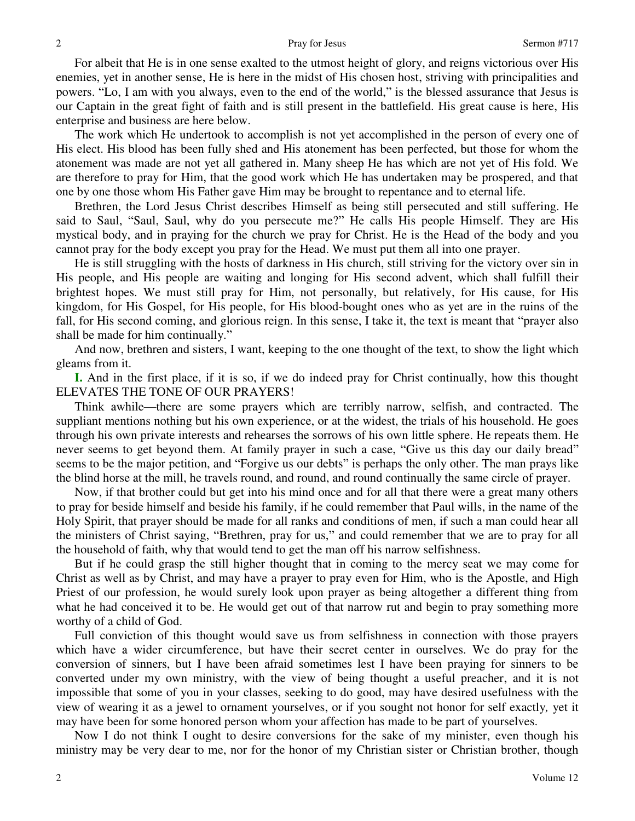For albeit that He is in one sense exalted to the utmost height of glory, and reigns victorious over His enemies, yet in another sense, He is here in the midst of His chosen host, striving with principalities and powers. "Lo, I am with you always, even to the end of the world," is the blessed assurance that Jesus is our Captain in the great fight of faith and is still present in the battlefield. His great cause is here, His enterprise and business are here below.

The work which He undertook to accomplish is not yet accomplished in the person of every one of His elect. His blood has been fully shed and His atonement has been perfected, but those for whom the atonement was made are not yet all gathered in. Many sheep He has which are not yet of His fold. We are therefore to pray for Him, that the good work which He has undertaken may be prospered, and that one by one those whom His Father gave Him may be brought to repentance and to eternal life.

Brethren, the Lord Jesus Christ describes Himself as being still persecuted and still suffering. He said to Saul, "Saul, Saul, why do you persecute me?" He calls His people Himself. They are His mystical body, and in praying for the church we pray for Christ. He is the Head of the body and you cannot pray for the body except you pray for the Head. We must put them all into one prayer.

He is still struggling with the hosts of darkness in His church, still striving for the victory over sin in His people, and His people are waiting and longing for His second advent, which shall fulfill their brightest hopes. We must still pray for Him, not personally, but relatively, for His cause, for His kingdom, for His Gospel, for His people, for His blood-bought ones who as yet are in the ruins of the fall, for His second coming, and glorious reign. In this sense, I take it, the text is meant that "prayer also shall be made for him continually."

And now, brethren and sisters, I want, keeping to the one thought of the text, to show the light which gleams from it.

**I.** And in the first place, if it is so, if we do indeed pray for Christ continually, how this thought ELEVATES THE TONE OF OUR PRAYERS!

Think awhile—there are some prayers which are terribly narrow, selfish, and contracted. The suppliant mentions nothing but his own experience, or at the widest, the trials of his household. He goes through his own private interests and rehearses the sorrows of his own little sphere. He repeats them. He never seems to get beyond them. At family prayer in such a case, "Give us this day our daily bread" seems to be the major petition, and "Forgive us our debts" is perhaps the only other. The man prays like the blind horse at the mill, he travels round, and round, and round continually the same circle of prayer.

Now, if that brother could but get into his mind once and for all that there were a great many others to pray for beside himself and beside his family, if he could remember that Paul wills, in the name of the Holy Spirit, that prayer should be made for all ranks and conditions of men, if such a man could hear all the ministers of Christ saying, "Brethren, pray for us," and could remember that we are to pray for all the household of faith, why that would tend to get the man off his narrow selfishness.

But if he could grasp the still higher thought that in coming to the mercy seat we may come for Christ as well as by Christ, and may have a prayer to pray even for Him, who is the Apostle, and High Priest of our profession, he would surely look upon prayer as being altogether a different thing from what he had conceived it to be. He would get out of that narrow rut and begin to pray something more worthy of a child of God.

Full conviction of this thought would save us from selfishness in connection with those prayers which have a wider circumference, but have their secret center in ourselves. We do pray for the conversion of sinners, but I have been afraid sometimes lest I have been praying for sinners to be converted under my own ministry, with the view of being thought a useful preacher, and it is not impossible that some of you in your classes, seeking to do good, may have desired usefulness with the view of wearing it as a jewel to ornament yourselves, or if you sought not honor for self exactly*,* yet it may have been for some honored person whom your affection has made to be part of yourselves.

Now I do not think I ought to desire conversions for the sake of my minister, even though his ministry may be very dear to me, nor for the honor of my Christian sister or Christian brother, though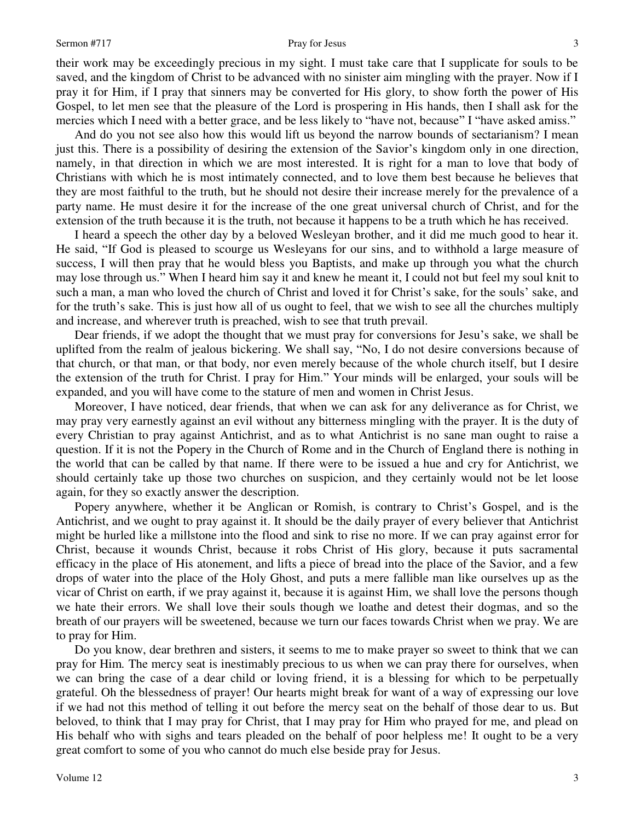#### Sermon #717 Pray for Jesus

their work may be exceedingly precious in my sight. I must take care that I supplicate for souls to be saved, and the kingdom of Christ to be advanced with no sinister aim mingling with the prayer. Now if I pray it for Him, if I pray that sinners may be converted for His glory, to show forth the power of His Gospel, to let men see that the pleasure of the Lord is prospering in His hands, then I shall ask for the mercies which I need with a better grace, and be less likely to "have not, because" I "have asked amiss."

And do you not see also how this would lift us beyond the narrow bounds of sectarianism? I mean just this. There is a possibility of desiring the extension of the Savior's kingdom only in one direction, namely, in that direction in which we are most interested. It is right for a man to love that body of Christians with which he is most intimately connected, and to love them best because he believes that they are most faithful to the truth, but he should not desire their increase merely for the prevalence of a party name. He must desire it for the increase of the one great universal church of Christ, and for the extension of the truth because it is the truth, not because it happens to be a truth which he has received.

I heard a speech the other day by a beloved Wesleyan brother, and it did me much good to hear it. He said, "If God is pleased to scourge us Wesleyans for our sins, and to withhold a large measure of success, I will then pray that he would bless you Baptists, and make up through you what the church may lose through us." When I heard him say it and knew he meant it, I could not but feel my soul knit to such a man, a man who loved the church of Christ and loved it for Christ's sake, for the souls' sake, and for the truth's sake. This is just how all of us ought to feel, that we wish to see all the churches multiply and increase, and wherever truth is preached, wish to see that truth prevail.

Dear friends, if we adopt the thought that we must pray for conversions for Jesu's sake, we shall be uplifted from the realm of jealous bickering. We shall say, "No, I do not desire conversions because of that church, or that man, or that body, nor even merely because of the whole church itself, but I desire the extension of the truth for Christ. I pray for Him." Your minds will be enlarged, your souls will be expanded, and you will have come to the stature of men and women in Christ Jesus.

Moreover, I have noticed, dear friends, that when we can ask for any deliverance as for Christ, we may pray very earnestly against an evil without any bitterness mingling with the prayer. It is the duty of every Christian to pray against Antichrist, and as to what Antichrist is no sane man ought to raise a question. If it is not the Popery in the Church of Rome and in the Church of England there is nothing in the world that can be called by that name. If there were to be issued a hue and cry for Antichrist, we should certainly take up those two churches on suspicion, and they certainly would not be let loose again, for they so exactly answer the description.

Popery anywhere, whether it be Anglican or Romish, is contrary to Christ's Gospel, and is the Antichrist, and we ought to pray against it. It should be the daily prayer of every believer that Antichrist might be hurled like a millstone into the flood and sink to rise no more. If we can pray against error for Christ, because it wounds Christ, because it robs Christ of His glory, because it puts sacramental efficacy in the place of His atonement, and lifts a piece of bread into the place of the Savior, and a few drops of water into the place of the Holy Ghost, and puts a mere fallible man like ourselves up as the vicar of Christ on earth, if we pray against it, because it is against Him, we shall love the persons though we hate their errors. We shall love their souls though we loathe and detest their dogmas, and so the breath of our prayers will be sweetened, because we turn our faces towards Christ when we pray. We are to pray for Him.

Do you know, dear brethren and sisters, it seems to me to make prayer so sweet to think that we can pray for Him*.* The mercy seat is inestimably precious to us when we can pray there for ourselves, when we can bring the case of a dear child or loving friend, it is a blessing for which to be perpetually grateful. Oh the blessedness of prayer! Our hearts might break for want of a way of expressing our love if we had not this method of telling it out before the mercy seat on the behalf of those dear to us. But beloved, to think that I may pray for Christ, that I may pray for Him who prayed for me, and plead on His behalf who with sighs and tears pleaded on the behalf of poor helpless me! It ought to be a very great comfort to some of you who cannot do much else beside pray for Jesus.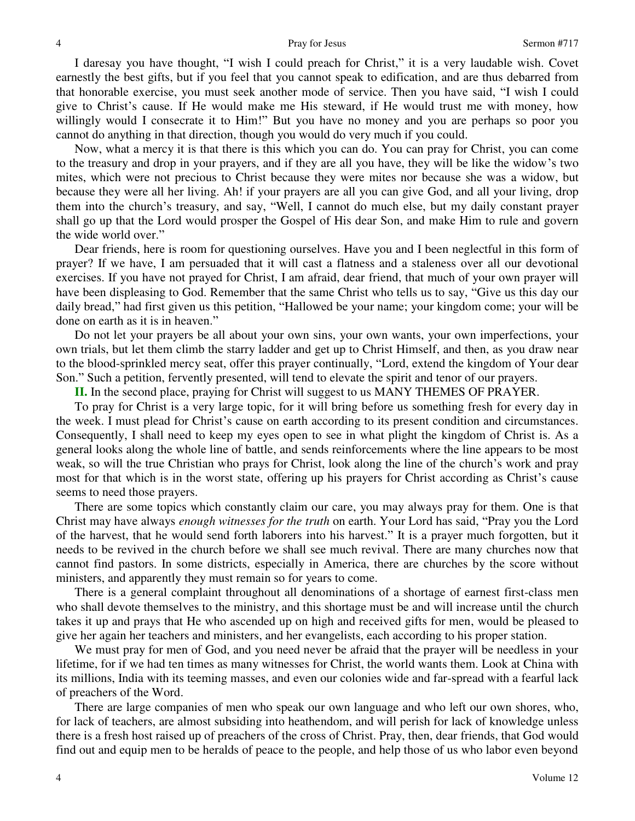I daresay you have thought, "I wish I could preach for Christ," it is a very laudable wish. Covet earnestly the best gifts, but if you feel that you cannot speak to edification, and are thus debarred from that honorable exercise, you must seek another mode of service. Then you have said, "I wish I could give to Christ's cause. If He would make me His steward, if He would trust me with money, how willingly would I consecrate it to Him!" But you have no money and you are perhaps so poor you cannot do anything in that direction, though you would do very much if you could.

Now, what a mercy it is that there is this which you can do. You can pray for Christ, you can come to the treasury and drop in your prayers, and if they are all you have, they will be like the widow's two mites, which were not precious to Christ because they were mites nor because she was a widow, but because they were all her living. Ah! if your prayers are all you can give God, and all your living, drop them into the church's treasury, and say, "Well, I cannot do much else, but my daily constant prayer shall go up that the Lord would prosper the Gospel of His dear Son, and make Him to rule and govern the wide world over."

Dear friends, here is room for questioning ourselves. Have you and I been neglectful in this form of prayer? If we have, I am persuaded that it will cast a flatness and a staleness over all our devotional exercises. If you have not prayed for Christ, I am afraid, dear friend, that much of your own prayer will have been displeasing to God. Remember that the same Christ who tells us to say, "Give us this day our daily bread," had first given us this petition, "Hallowed be your name; your kingdom come; your will be done on earth as it is in heaven."

Do not let your prayers be all about your own sins, your own wants, your own imperfections, your own trials, but let them climb the starry ladder and get up to Christ Himself, and then, as you draw near to the blood-sprinkled mercy seat, offer this prayer continually, "Lord, extend the kingdom of Your dear Son." Such a petition, fervently presented, will tend to elevate the spirit and tenor of our prayers.

**II.** In the second place, praying for Christ will suggest to us MANY THEMES OF PRAYER.

To pray for Christ is a very large topic, for it will bring before us something fresh for every day in the week. I must plead for Christ's cause on earth according to its present condition and circumstances. Consequently, I shall need to keep my eyes open to see in what plight the kingdom of Christ is. As a general looks along the whole line of battle, and sends reinforcements where the line appears to be most weak, so will the true Christian who prays for Christ, look along the line of the church's work and pray most for that which is in the worst state, offering up his prayers for Christ according as Christ's cause seems to need those prayers.

There are some topics which constantly claim our care, you may always pray for them. One is that Christ may have always *enough witnesses for the truth* on earth. Your Lord has said, "Pray you the Lord of the harvest, that he would send forth laborers into his harvest." It is a prayer much forgotten, but it needs to be revived in the church before we shall see much revival. There are many churches now that cannot find pastors. In some districts, especially in America, there are churches by the score without ministers, and apparently they must remain so for years to come.

There is a general complaint throughout all denominations of a shortage of earnest first-class men who shall devote themselves to the ministry, and this shortage must be and will increase until the church takes it up and prays that He who ascended up on high and received gifts for men, would be pleased to give her again her teachers and ministers, and her evangelists, each according to his proper station.

We must pray for men of God, and you need never be afraid that the prayer will be needless in your lifetime, for if we had ten times as many witnesses for Christ, the world wants them. Look at China with its millions, India with its teeming masses, and even our colonies wide and far-spread with a fearful lack of preachers of the Word.

There are large companies of men who speak our own language and who left our own shores, who, for lack of teachers, are almost subsiding into heathendom, and will perish for lack of knowledge unless there is a fresh host raised up of preachers of the cross of Christ. Pray, then, dear friends, that God would find out and equip men to be heralds of peace to the people, and help those of us who labor even beyond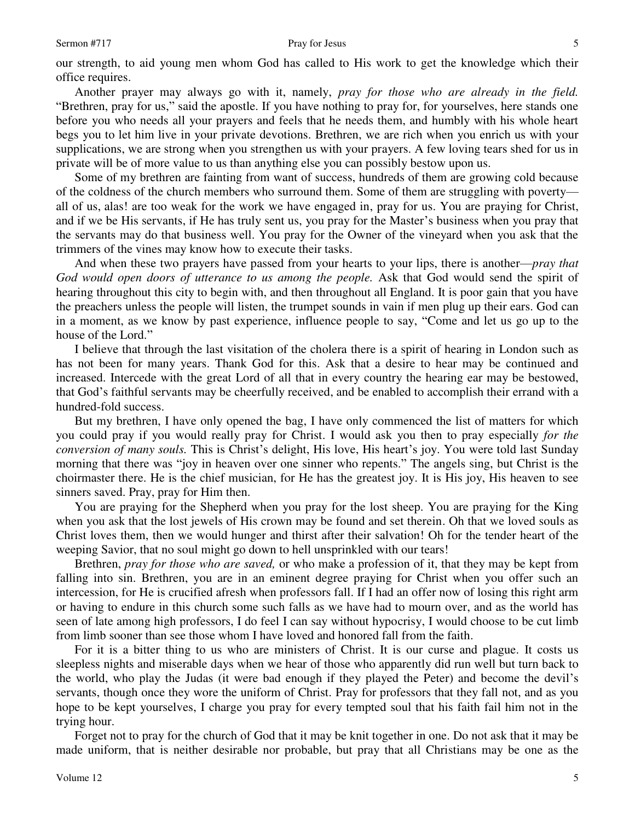#### Sermon #717 Pray for Jesus

our strength, to aid young men whom God has called to His work to get the knowledge which their office requires.

Another prayer may always go with it, namely, *pray for those who are already in the field.* "Brethren, pray for us," said the apostle. If you have nothing to pray for, for yourselves, here stands one before you who needs all your prayers and feels that he needs them, and humbly with his whole heart begs you to let him live in your private devotions. Brethren, we are rich when you enrich us with your supplications, we are strong when you strengthen us with your prayers. A few loving tears shed for us in private will be of more value to us than anything else you can possibly bestow upon us.

Some of my brethren are fainting from want of success, hundreds of them are growing cold because of the coldness of the church members who surround them. Some of them are struggling with poverty all of us, alas! are too weak for the work we have engaged in, pray for us. You are praying for Christ, and if we be His servants, if He has truly sent us, you pray for the Master's business when you pray that the servants may do that business well. You pray for the Owner of the vineyard when you ask that the trimmers of the vines may know how to execute their tasks.

And when these two prayers have passed from your hearts to your lips, there is another—*pray that God would open doors of utterance to us among the people.* Ask that God would send the spirit of hearing throughout this city to begin with, and then throughout all England. It is poor gain that you have the preachers unless the people will listen, the trumpet sounds in vain if men plug up their ears. God can in a moment, as we know by past experience, influence people to say, "Come and let us go up to the house of the Lord."

I believe that through the last visitation of the cholera there is a spirit of hearing in London such as has not been for many years. Thank God for this. Ask that a desire to hear may be continued and increased. Intercede with the great Lord of all that in every country the hearing ear may be bestowed, that God's faithful servants may be cheerfully received, and be enabled to accomplish their errand with a hundred-fold success.

But my brethren, I have only opened the bag, I have only commenced the list of matters for which you could pray if you would really pray for Christ. I would ask you then to pray especially *for the conversion of many souls.* This is Christ's delight, His love, His heart's joy. You were told last Sunday morning that there was "joy in heaven over one sinner who repents." The angels sing, but Christ is the choirmaster there. He is the chief musician, for He has the greatest joy. It is His joy, His heaven to see sinners saved. Pray, pray for Him then.

You are praying for the Shepherd when you pray for the lost sheep. You are praying for the King when you ask that the lost jewels of His crown may be found and set therein. Oh that we loved souls as Christ loves them, then we would hunger and thirst after their salvation! Oh for the tender heart of the weeping Savior, that no soul might go down to hell unsprinkled with our tears!

Brethren, *pray for those who are saved,* or who make a profession of it, that they may be kept from falling into sin. Brethren, you are in an eminent degree praying for Christ when you offer such an intercession, for He is crucified afresh when professors fall. If I had an offer now of losing this right arm or having to endure in this church some such falls as we have had to mourn over, and as the world has seen of late among high professors, I do feel I can say without hypocrisy, I would choose to be cut limb from limb sooner than see those whom I have loved and honored fall from the faith.

For it is a bitter thing to us who are ministers of Christ. It is our curse and plague. It costs us sleepless nights and miserable days when we hear of those who apparently did run well but turn back to the world, who play the Judas (it were bad enough if they played the Peter) and become the devil's servants, though once they wore the uniform of Christ. Pray for professors that they fall not, and as you hope to be kept yourselves, I charge you pray for every tempted soul that his faith fail him not in the trying hour.

Forget not to pray for the church of God that it may be knit together in one. Do not ask that it may be made uniform, that is neither desirable nor probable, but pray that all Christians may be one as the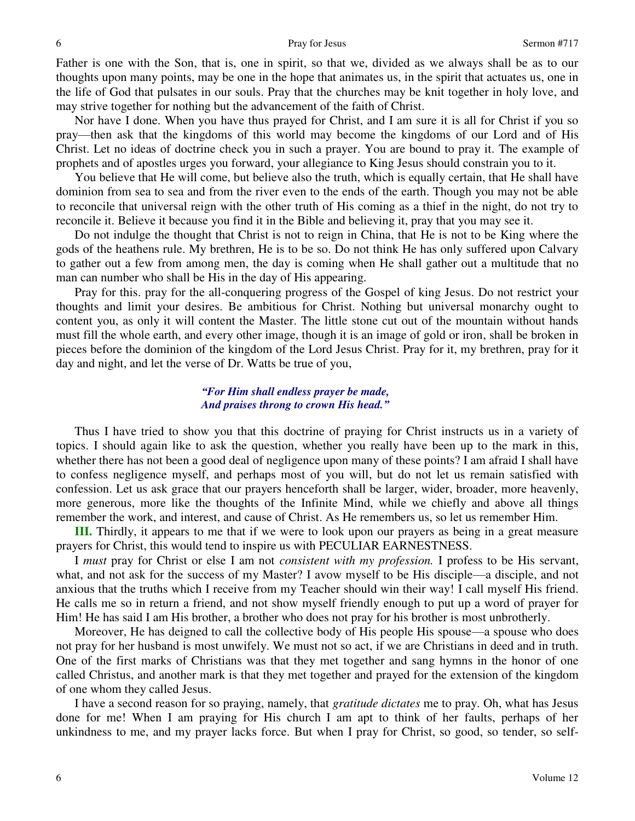Father is one with the Son, that is, one in spirit, so that we, divided as we always shall be as to our thoughts upon many points, may be one in the hope that animates us, in the spirit that actuates us, one in the life of God that pulsates in our souls. Pray that the churches may be knit together in holy love, and may strive together for nothing but the advancement of the faith of Christ.

Nor have I done. When you have thus prayed for Christ, and I am sure it is all for Christ if you so pray—then ask that the kingdoms of this world may become the kingdoms of our Lord and of His Christ. Let no ideas of doctrine check you in such a prayer. You are bound to pray it. The example of prophets and of apostles urges you forward, your allegiance to King Jesus should constrain you to it.

You believe that He will come, but believe also the truth, which is equally certain, that He shall have dominion from sea to sea and from the river even to the ends of the earth. Though you may not be able to reconcile that universal reign with the other truth of His coming as a thief in the night, do not try to reconcile it. Believe it because you find it in the Bible and believing it, pray that you may see it.

Do not indulge the thought that Christ is not to reign in China, that He is not to be King where the gods of the heathens rule. My brethren, He is to be so. Do not think He has only suffered upon Calvary to gather out a few from among men, the day is coming when He shall gather out a multitude that no man can number who shall be His in the day of His appearing.

Pray for this. pray for the all-conquering progress of the Gospel of king Jesus. Do not restrict your thoughts and limit your desires. Be ambitious for Christ. Nothing but universal monarchy ought to content you, as only it will content the Master. The little stone cut out of the mountain without hands must fill the whole earth, and every other image, though it is an image of gold or iron, shall be broken in pieces before the dominion of the kingdom of the Lord Jesus Christ. Pray for it, my brethren, pray for it day and night, and let the verse of Dr. Watts be true of you,

### *"For Him shall endless prayer be made, And praises throng to crown His head."*

Thus I have tried to show you that this doctrine of praying for Christ instructs us in a variety of topics. I should again like to ask the question, whether you really have been up to the mark in this, whether there has not been a good deal of negligence upon many of these points? I am afraid I shall have to confess negligence myself, and perhaps most of you will, but do not let us remain satisfied with confession. Let us ask grace that our prayers henceforth shall be larger, wider, broader, more heavenly, more generous, more like the thoughts of the Infinite Mind, while we chiefly and above all things remember the work, and interest, and cause of Christ. As He remembers us, so let us remember Him.

**III.** Thirdly, it appears to me that if we were to look upon our prayers as being in a great measure prayers for Christ, this would tend to inspire us with PECULIAR EARNESTNESS.

I *must* pray for Christ or else I am not *consistent with my profession.* I profess to be His servant, what, and not ask for the success of my Master? I avow myself to be His disciple—a disciple, and not anxious that the truths which I receive from my Teacher should win their way! I call myself His friend. He calls me so in return a friend, and not show myself friendly enough to put up a word of prayer for Him! He has said I am His brother, a brother who does not pray for his brother is most unbrotherly.

Moreover, He has deigned to call the collective body of His people His spouse—a spouse who does not pray for her husband is most unwifely. We must not so act, if we are Christians in deed and in truth. One of the first marks of Christians was that they met together and sang hymns in the honor of one called Christus, and another mark is that they met together and prayed for the extension of the kingdom of one whom they called Jesus.

I have a second reason for so praying, namely, that *gratitude dictates* me to pray. Oh, what has Jesus done for me! When I am praying for His church I am apt to think of her faults, perhaps of her unkindness to me, and my prayer lacks force. But when I pray for Christ, so good, so tender, so self-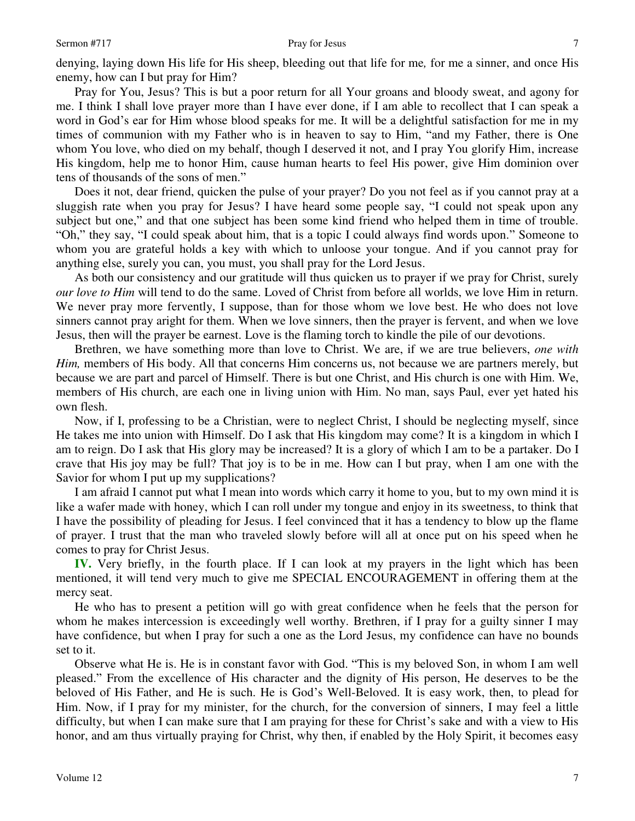### Sermon #717 Pray for Jesus

7

denying, laying down His life for His sheep, bleeding out that life for me*,* for me a sinner, and once His enemy, how can I but pray for Him?

Pray for You, Jesus? This is but a poor return for all Your groans and bloody sweat, and agony for me. I think I shall love prayer more than I have ever done, if I am able to recollect that I can speak a word in God's ear for Him whose blood speaks for me. It will be a delightful satisfaction for me in my times of communion with my Father who is in heaven to say to Him, "and my Father, there is One whom You love, who died on my behalf, though I deserved it not, and I pray You glorify Him, increase His kingdom, help me to honor Him, cause human hearts to feel His power, give Him dominion over tens of thousands of the sons of men."

Does it not, dear friend, quicken the pulse of your prayer? Do you not feel as if you cannot pray at a sluggish rate when you pray for Jesus? I have heard some people say, "I could not speak upon any subject but one," and that one subject has been some kind friend who helped them in time of trouble. "Oh," they say, "I could speak about him, that is a topic I could always find words upon." Someone to whom you are grateful holds a key with which to unloose your tongue. And if you cannot pray for anything else, surely you can, you must, you shall pray for the Lord Jesus.

As both our consistency and our gratitude will thus quicken us to prayer if we pray for Christ, surely *our love to Him* will tend to do the same. Loved of Christ from before all worlds, we love Him in return. We never pray more fervently, I suppose, than for those whom we love best. He who does not love sinners cannot pray aright for them. When we love sinners, then the prayer is fervent, and when we love Jesus, then will the prayer be earnest. Love is the flaming torch to kindle the pile of our devotions.

Brethren, we have something more than love to Christ. We are, if we are true believers, *one with Him*, members of His body. All that concerns Him concerns us, not because we are partners merely, but because we are part and parcel of Himself. There is but one Christ, and His church is one with Him. We, members of His church, are each one in living union with Him. No man, says Paul, ever yet hated his own flesh.

Now, if I, professing to be a Christian, were to neglect Christ, I should be neglecting myself, since He takes me into union with Himself. Do I ask that His kingdom may come? It is a kingdom in which I am to reign. Do I ask that His glory may be increased? It is a glory of which I am to be a partaker. Do I crave that His joy may be full? That joy is to be in me. How can I but pray, when I am one with the Savior for whom I put up my supplications?

I am afraid I cannot put what I mean into words which carry it home to you, but to my own mind it is like a wafer made with honey, which I can roll under my tongue and enjoy in its sweetness, to think that I have the possibility of pleading for Jesus. I feel convinced that it has a tendency to blow up the flame of prayer. I trust that the man who traveled slowly before will all at once put on his speed when he comes to pray for Christ Jesus.

**IV.** Very briefly, in the fourth place. If I can look at my prayers in the light which has been mentioned, it will tend very much to give me SPECIAL ENCOURAGEMENT in offering them at the mercy seat.

He who has to present a petition will go with great confidence when he feels that the person for whom he makes intercession is exceedingly well worthy. Brethren, if I pray for a guilty sinner I may have confidence, but when I pray for such a one as the Lord Jesus, my confidence can have no bounds set to it.

Observe what He is. He is in constant favor with God. "This is my beloved Son, in whom I am well pleased." From the excellence of His character and the dignity of His person, He deserves to be the beloved of His Father, and He is such. He is God's Well-Beloved. It is easy work, then, to plead for Him. Now, if I pray for my minister, for the church, for the conversion of sinners, I may feel a little difficulty, but when I can make sure that I am praying for these for Christ's sake and with a view to His honor, and am thus virtually praying for Christ, why then, if enabled by the Holy Spirit, it becomes easy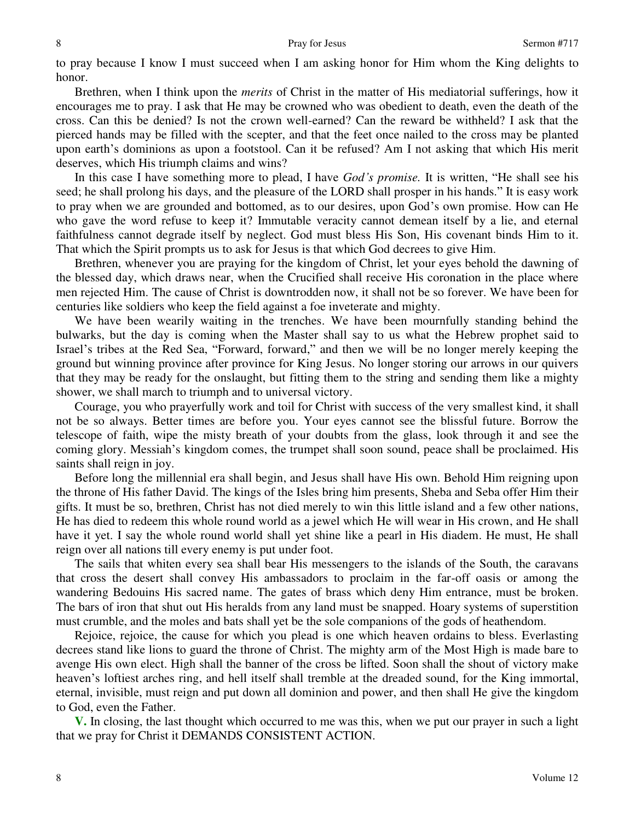to pray because I know I must succeed when I am asking honor for Him whom the King delights to honor.

Brethren, when I think upon the *merits* of Christ in the matter of His mediatorial sufferings, how it encourages me to pray. I ask that He may be crowned who was obedient to death, even the death of the cross. Can this be denied? Is not the crown well-earned? Can the reward be withheld? I ask that the pierced hands may be filled with the scepter, and that the feet once nailed to the cross may be planted upon earth's dominions as upon a footstool. Can it be refused? Am I not asking that which His merit deserves, which His triumph claims and wins?

In this case I have something more to plead, I have *God's promise.* It is written, "He shall see his seed; he shall prolong his days, and the pleasure of the LORD shall prosper in his hands." It is easy work to pray when we are grounded and bottomed, as to our desires, upon God's own promise. How can He who gave the word refuse to keep it? Immutable veracity cannot demean itself by a lie, and eternal faithfulness cannot degrade itself by neglect. God must bless His Son, His covenant binds Him to it. That which the Spirit prompts us to ask for Jesus is that which God decrees to give Him.

Brethren, whenever you are praying for the kingdom of Christ, let your eyes behold the dawning of the blessed day, which draws near, when the Crucified shall receive His coronation in the place where men rejected Him. The cause of Christ is downtrodden now, it shall not be so forever. We have been for centuries like soldiers who keep the field against a foe inveterate and mighty.

We have been wearily waiting in the trenches. We have been mournfully standing behind the bulwarks, but the day is coming when the Master shall say to us what the Hebrew prophet said to Israel's tribes at the Red Sea, "Forward, forward," and then we will be no longer merely keeping the ground but winning province after province for King Jesus. No longer storing our arrows in our quivers that they may be ready for the onslaught, but fitting them to the string and sending them like a mighty shower, we shall march to triumph and to universal victory.

Courage, you who prayerfully work and toil for Christ with success of the very smallest kind, it shall not be so always. Better times are before you. Your eyes cannot see the blissful future. Borrow the telescope of faith, wipe the misty breath of your doubts from the glass, look through it and see the coming glory. Messiah's kingdom comes, the trumpet shall soon sound, peace shall be proclaimed. His saints shall reign in joy.

Before long the millennial era shall begin, and Jesus shall have His own. Behold Him reigning upon the throne of His father David. The kings of the Isles bring him presents, Sheba and Seba offer Him their gifts. It must be so, brethren, Christ has not died merely to win this little island and a few other nations, He has died to redeem this whole round world as a jewel which He will wear in His crown, and He shall have it yet. I say the whole round world shall yet shine like a pearl in His diadem. He must, He shall reign over all nations till every enemy is put under foot.

The sails that whiten every sea shall bear His messengers to the islands of the South, the caravans that cross the desert shall convey His ambassadors to proclaim in the far-off oasis or among the wandering Bedouins His sacred name. The gates of brass which deny Him entrance, must be broken. The bars of iron that shut out His heralds from any land must be snapped. Hoary systems of superstition must crumble, and the moles and bats shall yet be the sole companions of the gods of heathendom.

Rejoice, rejoice, the cause for which you plead is one which heaven ordains to bless. Everlasting decrees stand like lions to guard the throne of Christ. The mighty arm of the Most High is made bare to avenge His own elect. High shall the banner of the cross be lifted. Soon shall the shout of victory make heaven's loftiest arches ring, and hell itself shall tremble at the dreaded sound, for the King immortal, eternal, invisible, must reign and put down all dominion and power, and then shall He give the kingdom to God, even the Father.

**V.** In closing, the last thought which occurred to me was this, when we put our prayer in such a light that we pray for Christ it DEMANDS CONSISTENT ACTION.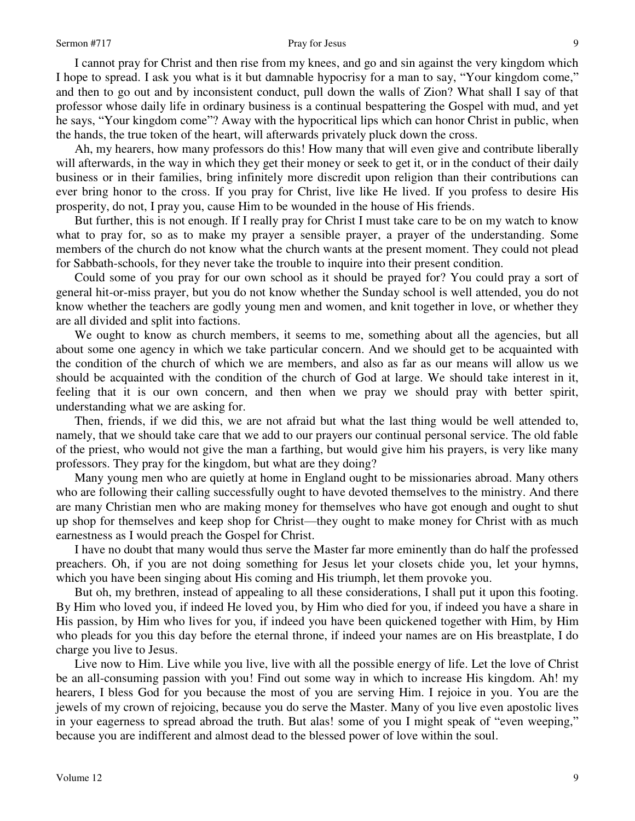I cannot pray for Christ and then rise from my knees, and go and sin against the very kingdom which I hope to spread. I ask you what is it but damnable hypocrisy for a man to say, "Your kingdom come," and then to go out and by inconsistent conduct, pull down the walls of Zion? What shall I say of that professor whose daily life in ordinary business is a continual bespattering the Gospel with mud, and yet he says, "Your kingdom come"? Away with the hypocritical lips which can honor Christ in public, when the hands, the true token of the heart, will afterwards privately pluck down the cross.

Ah, my hearers, how many professors do this! How many that will even give and contribute liberally will afterwards, in the way in which they get their money or seek to get it, or in the conduct of their daily business or in their families, bring infinitely more discredit upon religion than their contributions can ever bring honor to the cross. If you pray for Christ, live like He lived. If you profess to desire His prosperity, do not, I pray you, cause Him to be wounded in the house of His friends.

But further, this is not enough. If I really pray for Christ I must take care to be on my watch to know what to pray for, so as to make my prayer a sensible prayer, a prayer of the understanding. Some members of the church do not know what the church wants at the present moment. They could not plead for Sabbath-schools, for they never take the trouble to inquire into their present condition.

Could some of you pray for our own school as it should be prayed for? You could pray a sort of general hit-or-miss prayer, but you do not know whether the Sunday school is well attended, you do not know whether the teachers are godly young men and women, and knit together in love, or whether they are all divided and split into factions.

We ought to know as church members, it seems to me, something about all the agencies, but all about some one agency in which we take particular concern. And we should get to be acquainted with the condition of the church of which we are members, and also as far as our means will allow us we should be acquainted with the condition of the church of God at large. We should take interest in it, feeling that it is our own concern, and then when we pray we should pray with better spirit, understanding what we are asking for.

Then, friends, if we did this, we are not afraid but what the last thing would be well attended to, namely, that we should take care that we add to our prayers our continual personal service. The old fable of the priest, who would not give the man a farthing, but would give him his prayers, is very like many professors. They pray for the kingdom, but what are they doing?

Many young men who are quietly at home in England ought to be missionaries abroad. Many others who are following their calling successfully ought to have devoted themselves to the ministry. And there are many Christian men who are making money for themselves who have got enough and ought to shut up shop for themselves and keep shop for Christ—they ought to make money for Christ with as much earnestness as I would preach the Gospel for Christ.

I have no doubt that many would thus serve the Master far more eminently than do half the professed preachers. Oh, if you are not doing something for Jesus let your closets chide you, let your hymns, which you have been singing about His coming and His triumph, let them provoke you.

But oh, my brethren, instead of appealing to all these considerations, I shall put it upon this footing. By Him who loved you, if indeed He loved you, by Him who died for you, if indeed you have a share in His passion, by Him who lives for you, if indeed you have been quickened together with Him, by Him who pleads for you this day before the eternal throne, if indeed your names are on His breastplate, I do charge you live to Jesus.

Live now to Him. Live while you live, live with all the possible energy of life. Let the love of Christ be an all-consuming passion with you! Find out some way in which to increase His kingdom. Ah! my hearers, I bless God for you because the most of you are serving Him. I rejoice in you. You are the jewels of my crown of rejoicing, because you do serve the Master. Many of you live even apostolic lives in your eagerness to spread abroad the truth. But alas! some of you I might speak of "even weeping," because you are indifferent and almost dead to the blessed power of love within the soul.